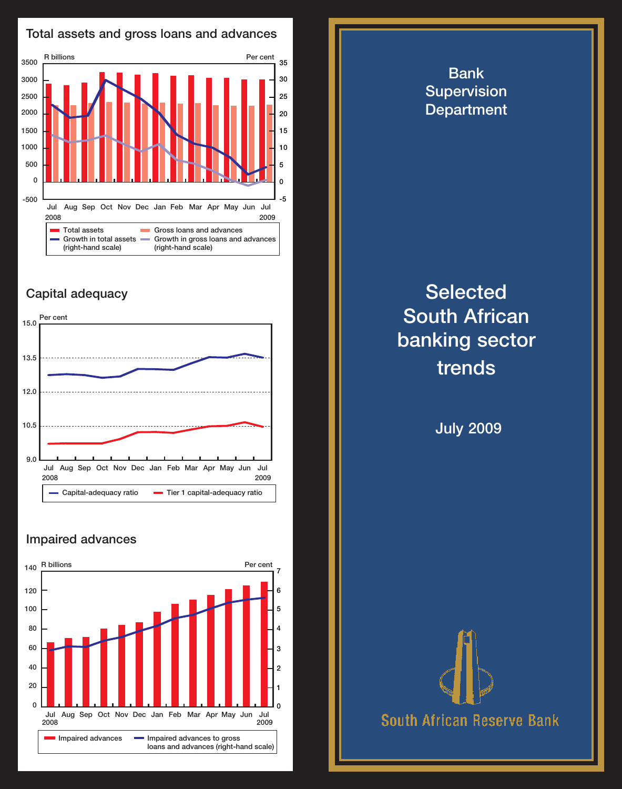

## Capital adequacy



## Impaired advances



## Bank **Supervision Department Selected** South African banking sector trends July 2009